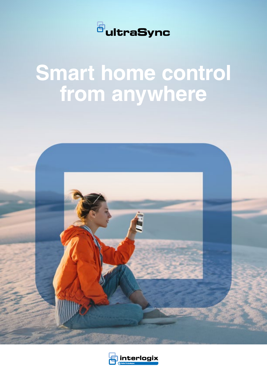

# **Smart home control from anywhere**



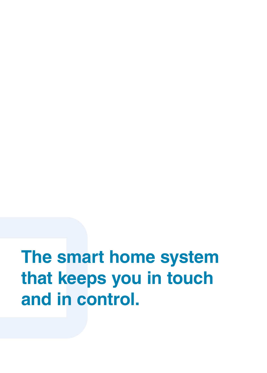**The smart home system that keeps you in touch and in control.**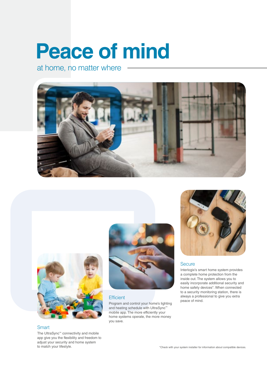# **Peace of mind**

at home, no matter where





#### **Smart**

The UltraSync™ connectivity and mobile app give you the flexibility and freedom to adjust your security and home system to match your lifestyle.



#### **Efficient**

Program and control your home's lighting and heating schedule with UltraSync™ mobile app. The more efficiently your home systems operate, the more money you save.



#### **Secure**

Interlogix's smart home system provides a complete home protection from the inside out. The system allows you to easily incorporate additional security and home safety devices\*. When connected to a security monitoring station, there is always a professional to give you extra peace of mind.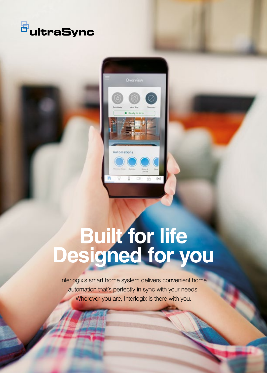

![](_page_3_Picture_1.jpeg)

# **Built for life Designed for you**

Interlogix's smart home system delivers convenient home automation that's perfectly in sync with your needs. Wherever you are, Interlogix is there with you.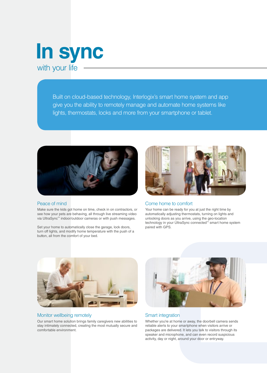![](_page_4_Picture_0.jpeg)

Built on cloud-based technology, Interlogix's smart home system and app give you the ability to remotely manage and automate home systems like lights, thermostats, locks and more from your smartphone or tablet.

![](_page_4_Picture_2.jpeg)

#### Peace of mind

Make sure the kids got home on time, check in on contractors, or see how your pets are behaving, all through live streaming video via UltraSync™ indoor/outdoor cameras or with push messages.

Set your home to automatically close the garage, lock doors, turn off lights, and modify home temperature with the push of a button, all from the comfort of your bed.

![](_page_4_Picture_6.jpeg)

#### Come home to comfort

Your home can be ready for you at just the right time by automatically adjusting thermostats, turning on lights and unlocking doors as you arrive, using the geo-location technology in your UltraSync connected™ smart home system paired with GPS.

![](_page_4_Picture_9.jpeg)

#### Monitor wellbeing remotely

Our smart home solution brings family caregivers new abilities to stay intimately connected, creating the most mutually secure and comfortable environment.

![](_page_4_Picture_12.jpeg)

#### Smart integration

Whether you're at home or away, the doorbell camera sends reliable alerts to your smartphone when visitors arrive or packages are delivered. It lets you talk to visitors through its speaker and microphone, and can even record suspicious activity, day or night, around your door or entryway.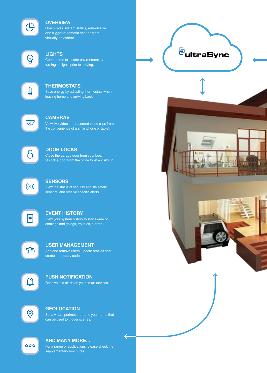![](_page_5_Picture_0.jpeg)

#### **OVERVIEW**

Check your system status, arm/disarm and trigger automatic actions from virtually anywhere.

![](_page_5_Picture_3.jpeg)

#### **LIGHTS**

Come home to a safer environment by turning on lights prior to arriving.

![](_page_5_Picture_6.jpeg)

#### **THERMOSTATS**

Save energy by adjusting thermostats when leaving home and arriving back.

![](_page_5_Picture_9.jpeg)

#### **CAMERAS**

View live video and recorded video clips from the convenience of a smartphone or tablet.

![](_page_5_Picture_12.jpeg)

#### **DOOR LOCKS**

Close the garage door from your bed. Unlock a door from the office to let a visitor in.

![](_page_5_Picture_15.jpeg)

#### **SENSORS**

View the status of security and life safety sensors, and receive specific alerts.

![](_page_5_Picture_18.jpeg)

#### **EVENT HISTORY**

View your system history to stay aware of comings and goings, troubles, alarms ...

![](_page_5_Picture_21.jpeg)

#### **USER MANAGEMENT**

Add and remove users, update profiles and create temporary codes.

![](_page_5_Picture_24.jpeg)

#### Receive text alerts on your smart devices. **PUSH NOTIFICATION**

![](_page_5_Picture_26.jpeg)

#### **GEOLOCATION**

Set a virtual perimeter around your home that can be used to trigger scenes.

![](_page_5_Picture_29.jpeg)

#### **AND MANY MORE...**

For a range of applications, please check the supplementary brochures.

**<sup>B</sup>ultraSync**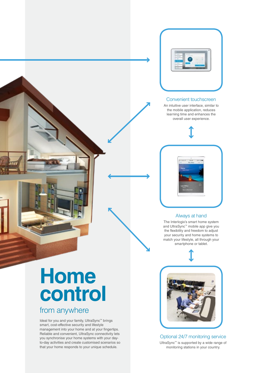![](_page_6_Picture_0.jpeg)

![](_page_6_Picture_1.jpeg)

#### Convenient touchscreen

An intuitive user interface, similar to the mobile application, reduces learning time and enhances the overall user experience.

![](_page_6_Picture_4.jpeg)

#### Always at hand

The Interlogix's smart home system and UltraSync™ mobile app give you the flexibility and freedom to adjust your security and home systems to match your lifestyle, all through your smartphone or tablet.

![](_page_6_Picture_7.jpeg)

## **Home control**

## from anywhere

Ideal for you and your family, UltraSync™ brings smart, cost-effective security and lifestyle management into your home and at your fingertips. Reliable and convenient, UltraSync connectivity lets you synchronise your home systems with your dayto-day activities and create customised scenarios so that your home responds to your unique schedule.

![](_page_6_Picture_11.jpeg)

Optional 24/7 monitoring service UltraSync™ is supported by a wide range of monitoring stations in your country.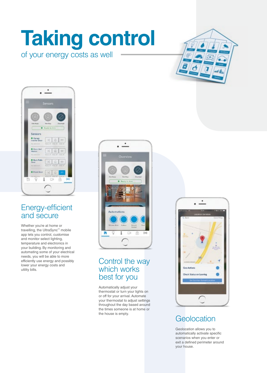## of your energy costs as well **Taking control**

![](_page_7_Picture_1.jpeg)

![](_page_7_Picture_2.jpeg)

## Energy-efficient and secure

Whether you're at home or travelling, the UltraSync™ mobile app lets you control, customise and monitor select lighting, temperature and electronics in your building. By monitoring and automating some of your electrical needs, you will be able to more efficiently use energy and possibly lower your energy costs and utility bills.

![](_page_7_Picture_5.jpeg)

## Control the way which works best for you

Automatically adjust your thermostat or turn your lights on or off for your arrival. Automate your thermostat to adjust settings throughout the day based around the times someone is at home or the house is empty.

![](_page_7_Picture_8.jpeg)

## **Geolocation**

Geolocation allows you to automatically activate specific scenarios when you enter or exit a defined perimeter around your house.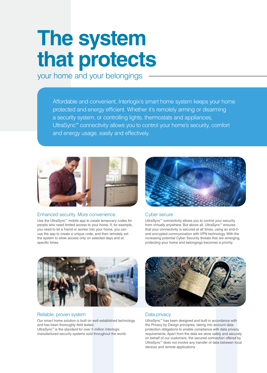# **The system that protects**

your home and your belongings

Affordable and convenient, Interlogix's smart home system keeps your home protected and energy efficient. Whether it's remotely arming or disarming a security system, or controlling lights, thermostats and appliances, UltraSync™ connectivity allows you to control your home's security, comfort and energy usage, easily and effectively.

![](_page_8_Picture_3.jpeg)

#### Enhanced security. More convenience

Use the UltraSync™ mobile app to create temporary codes for people who need limited access to your home. If, for example, you need to let a friend or worker into your home, you can use the app to create a unique code, and then remotely set the system to allow access only on selected days and at specific times.

![](_page_8_Picture_6.jpeg)

#### Cyber secure

UltraSync™ connectivity allows you to control your security from virtually anywhere. But above all, UltraSync™ ensures that your connectivity is secured at all times, using an end-2 end encrypted communication with VPN technology. With the increasing potential Cyber Security threats that are emerging, protecting your home and belongings becomes a priority.

![](_page_8_Picture_9.jpeg)

#### Reliable, proven system

Our smart home solution is built on well-established technology and has been thoroughly field tested. UltraSync™ is the standard for over 5 million Interlogix manufactured security systems sold throughout the world.

![](_page_8_Picture_12.jpeg)

#### Data privacy

UltraSync™ has been designed and built in accordance with the Privacy by Design principles, taking into account data protection obligations to enable compliance with data privacy requirements. Apart from the data we store safely and securely on behalf of our customers, the secured connection offered by UltraSync™ does not involve any transfer of data between local devices and remote applications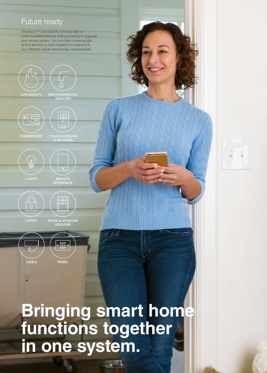## Future ready

UltraSync™ connectivity lets you add on smart-enabled devices without having to upgrade your whole system. You can then choreograph all the devices to work together to respond to your lifestyle needs and energy requirements.

![](_page_9_Picture_2.jpeg)

**LIFE SAFETY** 

ENVIRONMENTAL<br>SENSORS

![](_page_9_Picture_5.jpeg)

THERMOSTAT

![](_page_9_Picture_6.jpeg)

TOUCHSCREENS<br>& KEYFOBS

 $\circ$ 

![](_page_9_Picture_8.jpeg)

REMOTE<br>INTERFACE

![](_page_9_Picture_10.jpeg)

**DOOR & WINDOW**<br>SENSORS

 $\mathbb{H}$ 

**Bringing smart home**

**functions together**

**in one system.**

![](_page_9_Picture_12.jpeg)

**VIDEO** 

![](_page_9_Picture_28.jpeg)